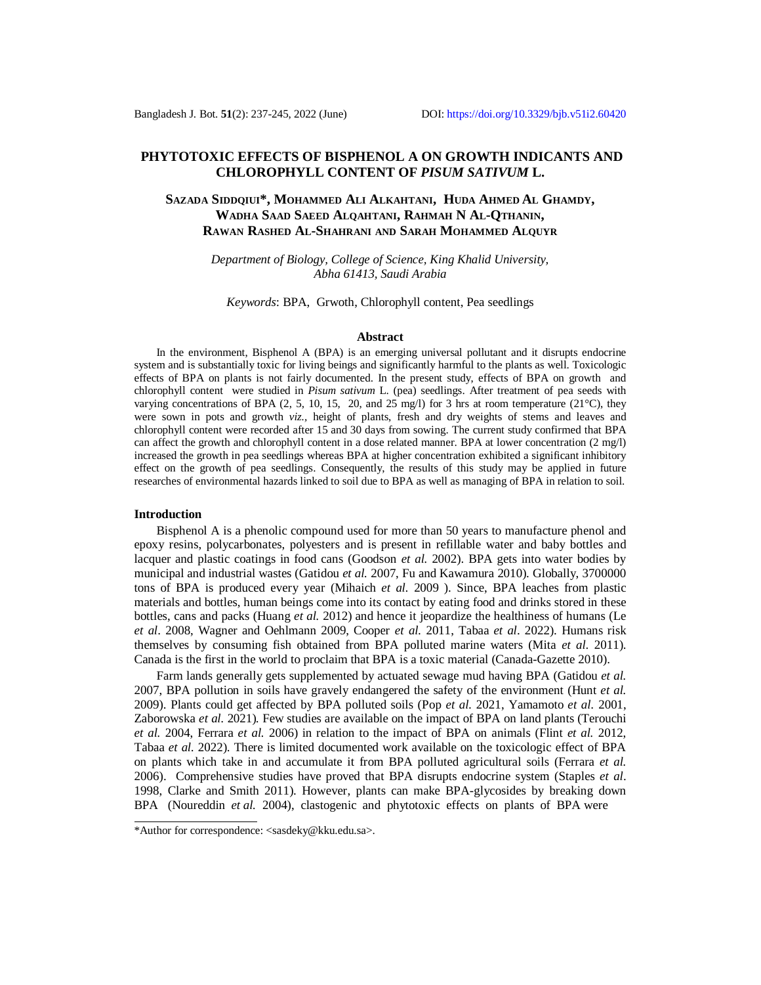# **PHYTOTOXIC EFFECTS OF BISPHENOL A ON GROWTH INDICANTS AND CHLOROPHYLL CONTENT OF** *PISUM SATIVUM* **L.**

# **SAZADA SIDDQIUI\*, MOHAMMED ALI ALKAHTANI, HUDA AHMED AL GHAMDY, WADHA SAAD SAEED ALQAHTANI, RAHMAH N AL-QTHANIN, RAWAN RASHED AL-SHAHRANI AND SARAH MOHAMMED ALQUYR**

*Department of Biology, College of Science, King Khalid University, Abha 61413, Saudi Arabia*

*Keywords*: BPA, Grwoth, Chlorophyll content, Pea seedlings

#### **Abstract**

In the environment, Bisphenol A (BPA) is an emerging universal pollutant and it disrupts endocrine system and is substantially toxic for living beings and significantly harmful to the plants as well. Toxicologic effects of BPA on plants is not fairly documented. In the present study, effects of BPA on growth and chlorophyll content were studied in *Pisum sativum* L. (pea) seedlings. After treatment of pea seeds with varying concentrations of BPA (2, 5, 10, 15, 20, and 25 mg/l) for 3 hrs at room temperature (21 $^{\circ}$ C), they were sown in pots and growth *viz.,* height of plants, fresh and dry weights of stems and leaves and chlorophyll content were recorded after 15 and 30 days from sowing. The current study confirmed that BPA can affect the growth and chlorophyll content in a dose related manner. BPA at lower concentration (2 mg/l) increased the growth in pea seedlings whereas BPA at higher concentration exhibited a significant inhibitory effect on the growth of pea seedlings. Consequently, the results of this study may be applied in future researches of environmental hazards linked to soil due to BPA as well as managing of BPA in relation to soil.

#### **Introduction**

Bisphenol A is a phenolic compound used for more than 50 years to manufacture phenol and epoxy resins, polycarbonates, polyesters and is present in refillable water and baby bottles and lacquer and plastic coatings in food cans (Goodson *et al.* 2002). BPA gets into water bodies by municipal and industrial wastes (Gatidou *et al.* 2007, Fu and Kawamura 2010). Globally, 3700000 tons of BPA is produced every year (Mihaich *et al.* 2009 ). Since, BPA leaches from plastic materials and bottles, human beings come into its contact by eating food and drinks stored in these bottles, cans and packs (Huang *et al.* 2012) and hence it jeopardize the healthiness of humans (Le *et al*. 2008, Wagner and Oehlmann 2009, Cooper *et al.* 2011, Tabaa *et al*. 2022). Humans risk themselves by consuming fish obtained from BPA polluted marine waters (Mita *et al*. 2011). Canada is the first in the world to proclaim that BPA is a toxic material (Canada-Gazette 2010).

Farm lands generally gets supplemented by actuated sewage mud having BPA (Gatidou *et al.* 2007, BPA pollution in soils have gravely endangered the safety of the environment (Hunt *et al.* 2009). Plants could get affected by BPA polluted soils (Pop *et al.* 2021, Yamamoto *et al.* 2001, Zaborowska *et al.* 2021)*.* Few studies are available on the impact of BPA on land plants (Terouchi *et al.* 2004, Ferrara *et al.* 2006) in relation to the impact of BPA on animals (Flint *et al.* 2012, Tabaa *et al.* 2022). There is limited documented work available on the toxicologic effect of BPA on plants which take in and accumulate it from BPA polluted agricultural soils (Ferrara *et al.*  2006). Comprehensive studies have proved that BPA disrupts endocrine system (Staples *et al*. 1998, Clarke and Smith 2011). However, plants can make BPA-glycosides by breaking down BPA (Noureddin *et al.* 2004), clastogenic and phytotoxic effects on plants of BPA were

<sup>\*</sup>Author for correspondence: [<sasdeky@kku.edu.sa>](mailto:sasdeky@kku.edu.sa).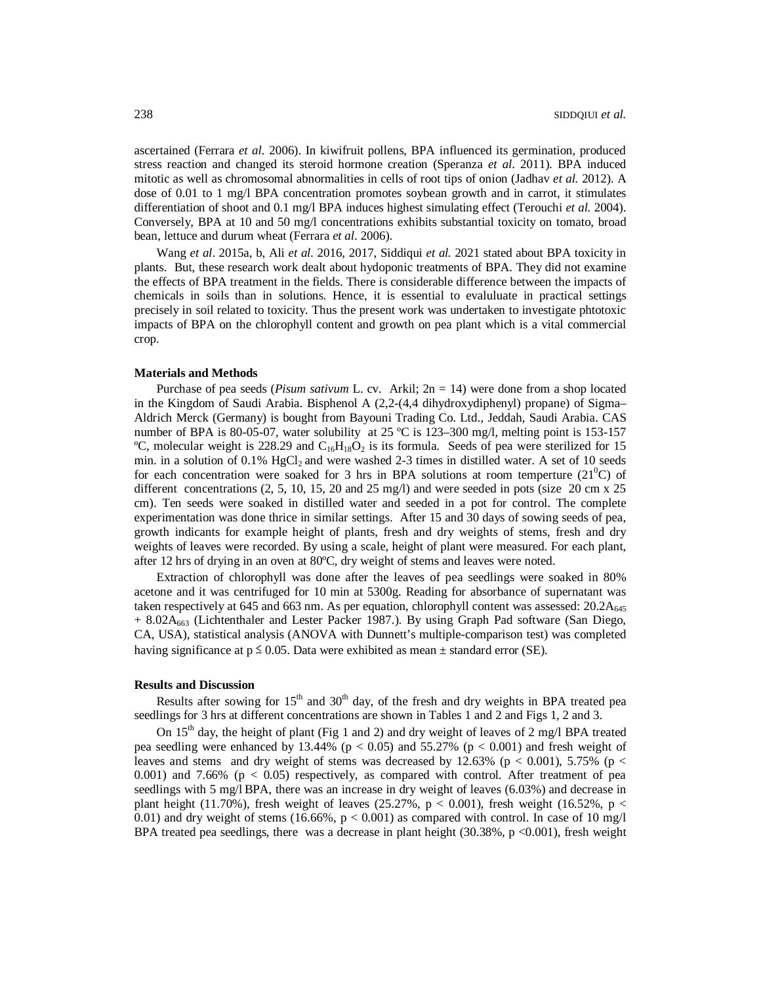ascertained (Ferrara *et al.* 2006). In kiwifruit pollens, BPA influenced its germination, produced stress reaction and changed its steroid hormone creation (Speranza *et al*. 2011). BPA induced mitotic as well as chromosomal abnormalities in cells of root tips of onion (Jadhav *et al.* 2012). A dose of 0.01 to 1 mg/l BPA concentration promotes soybean growth and in carrot, it stimulates differentiation of shoot and 0.1 mg/l BPA induces highest simulating effect (Terouchi *et al.* 2004). Conversely, BPA at 10 and 50 mg/l concentrations exhibits substantial toxicity on tomato, broad bean, lettuce and durum wheat (Ferrara *et al*. 2006).

Wang *et al*. 2015a, b, Ali *et al.* 2016, 2017, Siddiqui *et al.* 2021 stated about BPA toxicity in plants. But, these research work dealt about hydoponic treatments of BPA. They did not examine the effects of BPA treatment in the fields. There is considerable difference between the impacts of chemicals in soils than in solutions. Hence, it is essential to evaluluate in practical settings precisely in soil related to toxicity. Thus the present work was undertaken to investigate phtotoxic impacts of BPA on the chlorophyll content and growth on pea plant which is a vital commercial crop.

### **Materials and Methods**

Purchase of pea seeds (*Pisum sativum* L. cv. Arkil; 2n = 14) were done from a shop located in the Kingdom of Saudi Arabia. Bisphenol A (2,2-(4,4 dihydroxydiphenyl) propane) of Sigma– Aldrich Merck (Germany) is bought from Bayouni Trading Co. Ltd., Jeddah, Saudi Arabia. CAS number of BPA is 80-05-07, water solubility at 25 °C is 123-300 mg/l, melting point is 153-157 °C, molecular weight is 228.29 and  $C_{16}H_{18}O_2$  is its formula. Seeds of pea were sterilized for 15 min. in a solution of  $0.1\%$  HgCl<sub>2</sub> and were washed 2-3 times in distilled water. A set of 10 seeds for each concentration were soaked for 3 hrs in BPA solutions at room temperture  $(21^{\circ}C)$  of different concentrations (2, 5, 10, 15, 20 and 25 mg/l) and were seeded in pots (size 20 cm x 25 cm). Ten seeds were soaked in distilled water and seeded in a pot for control. The complete experimentation was done thrice in similar settings. After 15 and 30 days of sowing seeds of pea, growth indicants for example height of plants, fresh and dry weights of stems, fresh and dry weights of leaves were recorded. By using a scale, height of plant were measured. For each plant, after 12 hrs of drying in an oven at 80ºC, dry weight of stems and leaves were noted.

Extraction of chlorophyll was done after the leaves of pea seedlings were soaked in 80% acetone and it was centrifuged for 10 min at 5300g. Reading for absorbance of supernatant was taken respectively at 645 and 663 nm. As per equation, chlorophyll content was assessed: 20.2A645 + 8.02A<sub>663</sub> (Lichtenthaler and Lester Packer 1987.). By using Graph Pad software (San Diego, CA, USA), statistical analysis (ANOVA with Dunnett's multiple-comparison test) was completed having significance at  $p \le 0.05$ . Data were exhibited as mean  $\pm$  standard error (SE).

## **Results and Discussion**

Results after sowing for  $15<sup>th</sup>$  and  $30<sup>th</sup>$  day, of the fresh and dry weights in BPA treated pea seedlings for 3 hrs at different concentrations are shown in Tables 1 and 2 and Figs 1, 2 and 3.

On  $15<sup>th</sup>$  day, the height of plant (Fig 1 and 2) and dry weight of leaves of 2 mg/l BPA treated pea seedling were enhanced by  $13.44\%$  (p < 0.05) and 55.27% (p < 0.001) and fresh weight of leaves and stems and dry weight of stems was decreased by 12.63% (p < 0.001), 5.75% (p < 0.001) and 7.66% ( $p < 0.05$ ) respectively, as compared with control. After treatment of pea seedlings with 5 mg/l BPA, there was an increase in dry weight of leaves (6.03%) and decrease in plant height (11.70%), fresh weight of leaves (25.27%,  $p < 0.001$ ), fresh weight (16.52%,  $p <$ 0.01) and dry weight of stems (16.66%,  $p < 0.001$ ) as compared with control. In case of 10 mg/l BPA treated pea seedlings, there was a decrease in plant height  $(30.38\% , p < 0.001)$ , fresh weight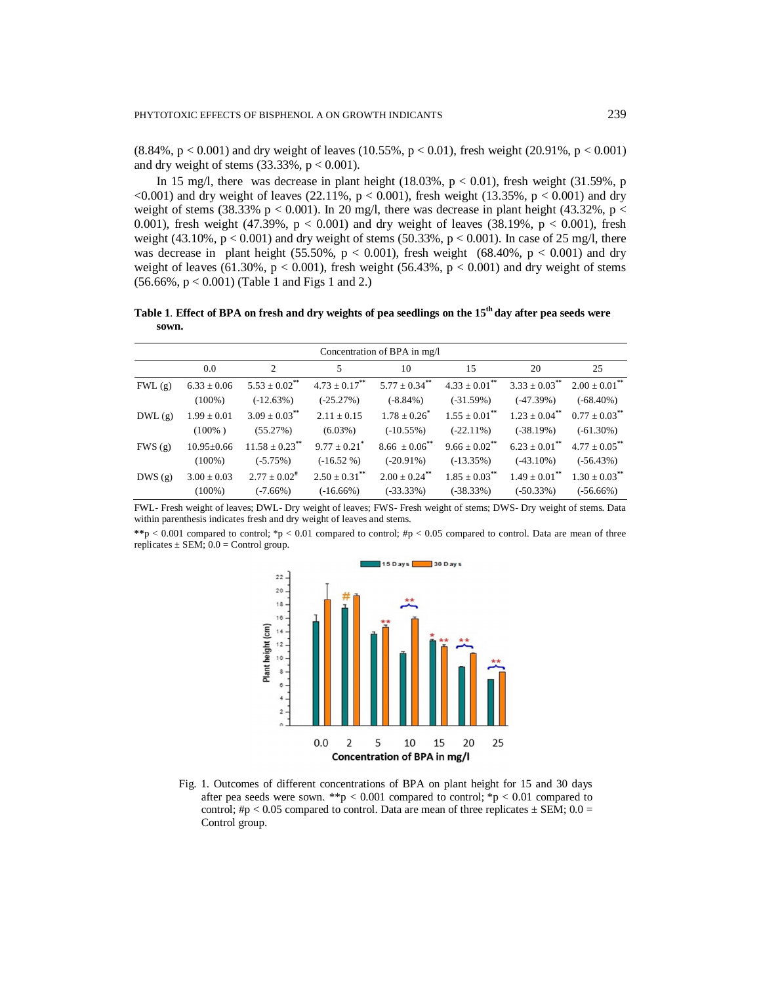$(8.84\%, p < 0.001)$  and dry weight of leaves  $(10.55\%, p < 0.01)$ , fresh weight  $(20.91\%, p < 0.001)$ and dry weight of stems  $(33.33\%, p < 0.001)$ .

In 15 mg/l, there was decrease in plant height  $(18.03\%, p < 0.01)$ , fresh weight  $(31.59\%, p$  $\langle 0.001 \rangle$  and dry weight of leaves (22.11%, p  $\langle 0.001 \rangle$ , fresh weight (13.35%, p  $\langle 0.001 \rangle$  and dry weight of stems (38.33% p < 0.001). In 20 mg/l, there was decrease in plant height (43.32%, p < 0.001), fresh weight (47.39%,  $p < 0.001$ ) and dry weight of leaves (38.19%,  $p < 0.001$ ), fresh weight (43.10%,  $p < 0.001$ ) and dry weight of stems (50.33%,  $p < 0.001$ ). In case of 25 mg/l, there was decrease in plant height (55.50%,  $p < 0.001$ ), fresh weight (68.40%,  $p < 0.001$ ) and dry weight of leaves (61.30%,  $p < 0.001$ ), fresh weight (56.43%,  $p < 0.001$ ) and dry weight of stems (56.66%, p < 0.001) (Table 1 and Figs 1 and 2.)

**Table 1**. **Effect of BPA on fresh and dry weights of pea seedlings on the 15th day after pea seeds were sown.** 

| Concentration of BPA in mg/l |                 |                               |                               |                               |                               |                               |                               |  |  |  |
|------------------------------|-----------------|-------------------------------|-------------------------------|-------------------------------|-------------------------------|-------------------------------|-------------------------------|--|--|--|
|                              | 0.0             | 2                             | 5                             | 10                            | 15                            | 20                            | 25                            |  |  |  |
| $FWL(\mathfrak{g})$          | $6.33 \pm 0.06$ | $5.53 \pm 0.02$ <sup>**</sup> | $4.73 \pm 0.17$ **            | $5.77 \pm 0.34$ <sup>**</sup> | $4.33 \pm 0.01$ <sup>**</sup> | $3.33 \pm 0.03$ <sup>**</sup> | $2.00 \pm 0.01$ <sup>**</sup> |  |  |  |
|                              | $(100\%)$       | $(-12.63%)$                   | $(-25.27%)$                   | $(-8.84\%)$                   | $(-31.59%)$                   | $(-47.39%)$                   | $(-68.40\%)$                  |  |  |  |
| DWL(g)                       | $1.99 \pm 0.01$ | $3.09 \pm 0.03$ **            | $2.11 \pm 0.15$               | $1.78 \pm 0.26^*$             | $1.55 \pm 0.01$ <sup>**</sup> | $1.23 \pm 0.04$ <sup>**</sup> | $0.77 + 0.03$ **              |  |  |  |
|                              | $(100\%)$       | (55.27%)                      | $(6.03\%)$                    | $(-10.55%)$                   | $(-22.11\%)$                  | $(-38.19%)$                   | $(-61.30\%)$                  |  |  |  |
| FWS(g)                       | $10.95 + 0.66$  | $11.58 \pm 0.23$ **           | $9.77 + 0.21$ <sup>*</sup>    | $8.66 \pm 0.06$ <sup>**</sup> | $9.66 \pm 0.02$ <sup>**</sup> | $6.23 \pm 0.01$ <sup>**</sup> | $4.77 + 0.05$ **              |  |  |  |
|                              | $(100\%)$       | $(-5.75%)$                    | $(-16.52\%)$                  | $(-20.91\%)$                  | $(-13.35%)$                   | $(-43.10\%)$                  | $(-56.43%)$                   |  |  |  |
| DWS(g)                       | $3.00 \pm 0.03$ | $2.77 \pm 0.02^{\#}$          | $2.50 \pm 0.31$ <sup>**</sup> | $2.00 \pm 0.24$ <sup>**</sup> | $1.85 \pm 0.03$ **            | $1.49 \pm 0.01$ <sup>**</sup> | $1.30 \pm 0.03$ **            |  |  |  |
|                              | $(100\%)$       | $(-7.66%)$                    | $(-16.66\%)$                  | $(-33.33\%)$                  | $(-38.33%)$                   | $(-50.33\%)$                  | $(-56.66\%)$                  |  |  |  |

FWL- Fresh weight of leaves; DWL- Dry weight of leaves; FWS- Fresh weight of stems; DWS- Dry weight of stems. Data within parenthesis indicates fresh and dry weight of leaves and stems.

\*\*p  $< 0.001$  compared to control; \*p  $< 0.01$  compared to control; #p  $< 0.05$  compared to control. Data are mean of three replicates  $\pm$  SEM; 0.0 = Control group.



Fig. 1. Outcomes of different concentrations of BPA on plant height for 15 and 30 days after pea seeds were sown. \*\*p < 0.001 compared to control; \*p < 0.01 compared to control; #p < 0.05 compared to control. Data are mean of three replicates  $\pm$  SEM; 0.0 = Control group.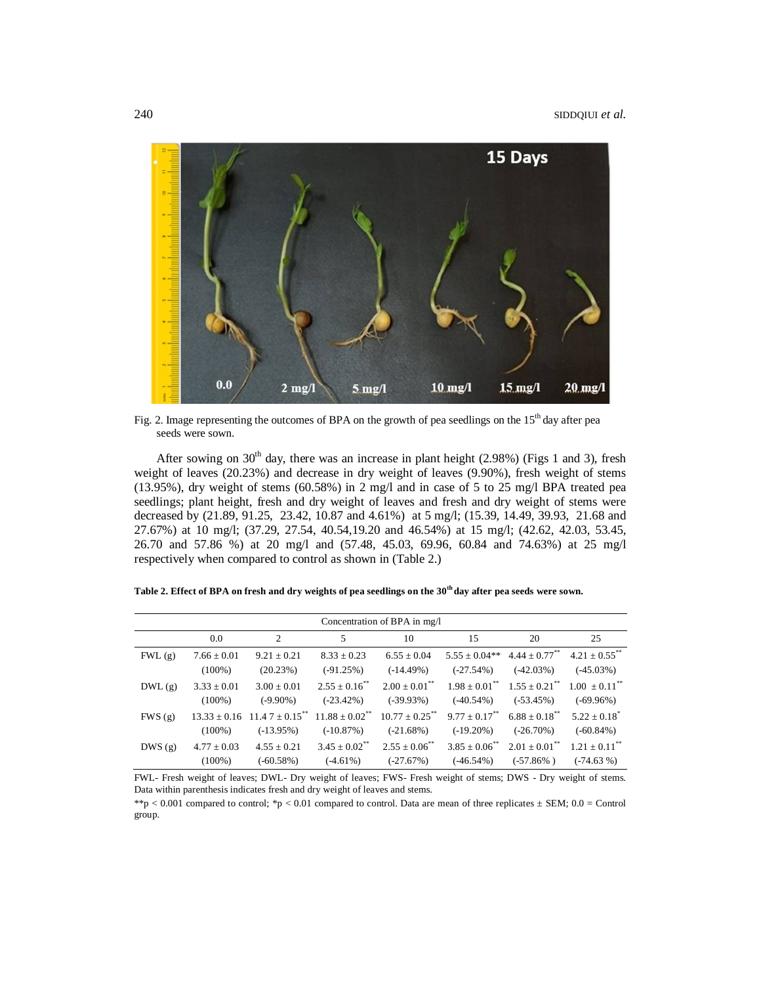

Fig. 2. Image representing the outcomes of BPA on the growth of pea seedlings on the  $15<sup>th</sup>$  day after pea seeds were sown.

After sowing on  $30<sup>th</sup>$  day, there was an increase in plant height (2.98%) (Figs 1 and 3), fresh weight of leaves (20.23%) and decrease in dry weight of leaves (9.90%), fresh weight of stems (13.95%), dry weight of stems (60.58%) in 2 mg/l and in case of 5 to 25 mg/l BPA treated pea seedlings; plant height, fresh and dry weight of leaves and fresh and dry weight of stems were decreased by (21.89, 91.25, 23.42, 10.87 and 4.61%) at 5 mg/l; (15.39, 14.49, 39.93, 21.68 and 27.67%) at 10 mg/l; (37.29, 27.54, 40.54,19.20 and 46.54%) at 15 mg/l; (42.62, 42.03, 53.45, 26.70 and 57.86 %) at 20 mg/l and (57.48, 45.03, 69.96, 60.84 and 74.63%) at 25 mg/l respectively when compared to control as shown in (Table 2.)

| Table 2. Effect of BPA on fresh and dry weights of pea seedlings on the 30 <sup>th</sup> day after pea seeds were sown. |  |
|-------------------------------------------------------------------------------------------------------------------------|--|
|                                                                                                                         |  |

| Concentration of BPA in mg/l |                 |                                                  |                                |                               |                               |                             |                               |  |  |  |
|------------------------------|-----------------|--------------------------------------------------|--------------------------------|-------------------------------|-------------------------------|-----------------------------|-------------------------------|--|--|--|
|                              | 0.0             | 2                                                | 5                              | 10                            | 15                            | 20                          | 25                            |  |  |  |
| FWL(g)                       | $7.66 \pm 0.01$ | $9.21 \pm 0.21$                                  | $8.33 \pm 0.23$                | $6.55 \pm 0.04$               | $5.55 + 0.04**$               | $4.44 \pm 0.77$             | $4.21 \pm 0.55$ **            |  |  |  |
|                              | $(100\%)$       | (20.23%)                                         | $(-91.25%)$                    | $(-14.49%)$                   | $(-27.54%)$                   | $(-42.03%)$                 | $(-45.03%)$                   |  |  |  |
| DWL(g)                       | $3.33 \pm 0.01$ | $3.00 + 0.01$                                    | $2.55 \pm 0.16$ <sup>**</sup>  | $2.00 \pm 0.01$ <sup>**</sup> | $1.98 \pm 0.01$ <sup>**</sup> | $1.55 + 0.21$ <sup>**</sup> | $1.00 \pm 0.11$ <sup>**</sup> |  |  |  |
|                              | $(100\%)$       | $(-9.90\%)$                                      | $(-23.42\%)$                   | $(-39.93\%)$                  | $(-40.54%)$                   | $(-53.45%)$                 | $(-69.96%)$                   |  |  |  |
| FWS(g)                       |                 | $13.33 \pm 0.16$ 11.4 $7 \pm 0.15$ <sup>**</sup> | $11.88 \pm 0.02$ <sup>**</sup> | $10.77 \pm 0.25$ **           | $9.77 \pm 0.17$ **            | $6.88 + 0.18$ <sup>**</sup> | $5.22 \pm 0.18$ <sup>*</sup>  |  |  |  |
|                              | $(100\%)$       | $(-13.95%)$                                      | $(-10.87%)$                    | $(-21.68%)$                   | $(-19.20\%)$                  | $(-26.70\%)$                | $(-60.84\%)$                  |  |  |  |
| DWS(g)                       | $4.77 + 0.03$   | $4.55 + 0.21$                                    | $3.45 \pm 0.02$ <sup>**</sup>  | $2.55 \pm 0.06$ <sup>**</sup> | $3.85 \pm 0.06^{**}$          | $2.01 + 0.01$ <sup>**</sup> | $1.21 \pm 0.11$ <sup>**</sup> |  |  |  |
|                              | $(100\%)$       | $(-60.58%)$                                      | $(-4.61\%)$                    | $(-27.67%)$                   | $(-46.54%)$                   | $(-57.86\%)$                | $(-74.63%)$                   |  |  |  |

FWL- Fresh weight of leaves; DWL- Dry weight of leaves; FWS- Fresh weight of stems; DWS - Dry weight of stems. Data within parenthesis indicates fresh and dry weight of leaves and stems.

\*\*p < 0.001 compared to control; \*p < 0.01 compared to control. Data are mean of three replicates  $\pm$  SEM; 0.0 = Control group.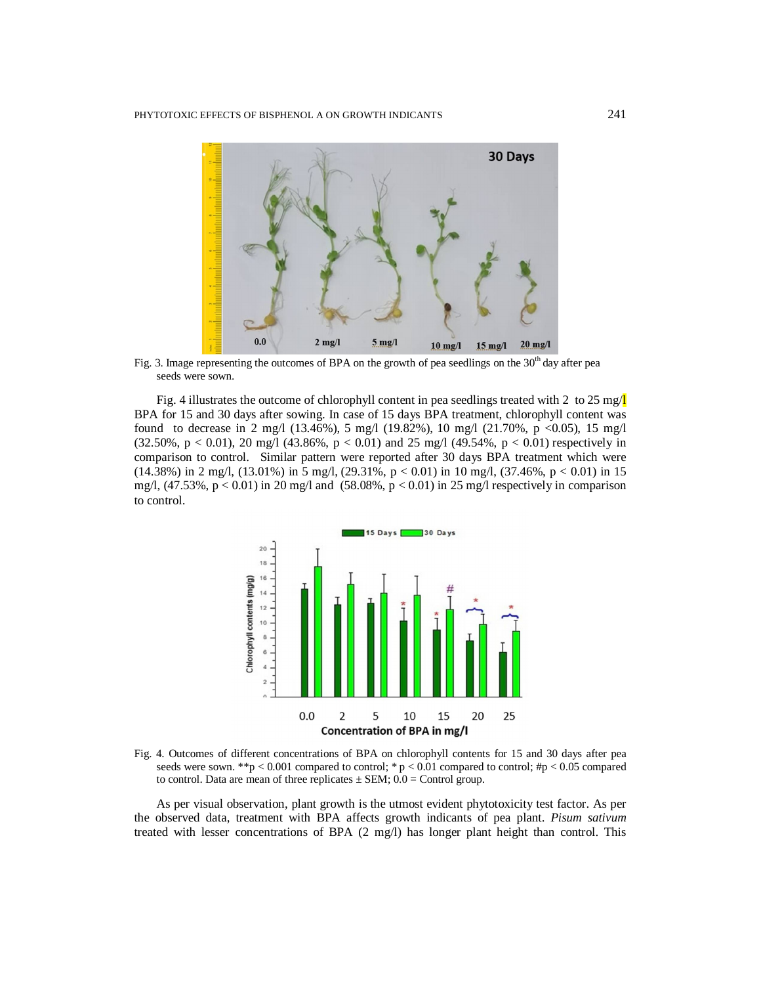

Fig. 3. Image representing the outcomes of BPA on the growth of pea seedlings on the  $30<sup>th</sup>$  day after pea seeds were sown.

Fig. 4 illustrates the outcome of chlorophyll content in pea seedlings treated with 2 to 25 mg/ BPA for 15 and 30 days after sowing. In case of 15 days BPA treatment, chlorophyll content was found to decrease in 2 mg/l (13.46%), 5 mg/l (19.82%), 10 mg/l (21.70%, p <0.05), 15 mg/l  $(32.50\%, p < 0.01)$ ,  $20 \text{ mg/l}$   $(43.86\%, p < 0.01)$  and  $25 \text{ mg/l}$   $(49.54\%, p < 0.01)$  respectively in comparison to control. Similar pattern were reported after 30 days BPA treatment which were (14.38%) in 2 mg/l, (13.01%) in 5 mg/l, (29.31%, p < 0.01) in 10 mg/l, (37.46%, p < 0.01) in 15 mg/l,  $(47.53\%, p < 0.01)$  in 20 mg/l and  $(58.08\%, p < 0.01)$  in 25 mg/l respectively in comparison to control.



Fig. 4. Outcomes of different concentrations of BPA on chlorophyll contents for 15 and 30 days after pea seeds were sown. \*\*p < 0.001 compared to control; \*p < 0.01 compared to control; #p < 0.05 compared to control. Data are mean of three replicates  $\pm$  SEM;  $0.0$  = Control group.

As per visual observation, plant growth is the utmost evident phytotoxicity test factor. As per the observed data, treatment with BPA affects growth indicants of pea plant. *Pisum sativum* treated with lesser concentrations of BPA (2 mg/l) has longer plant height than control. This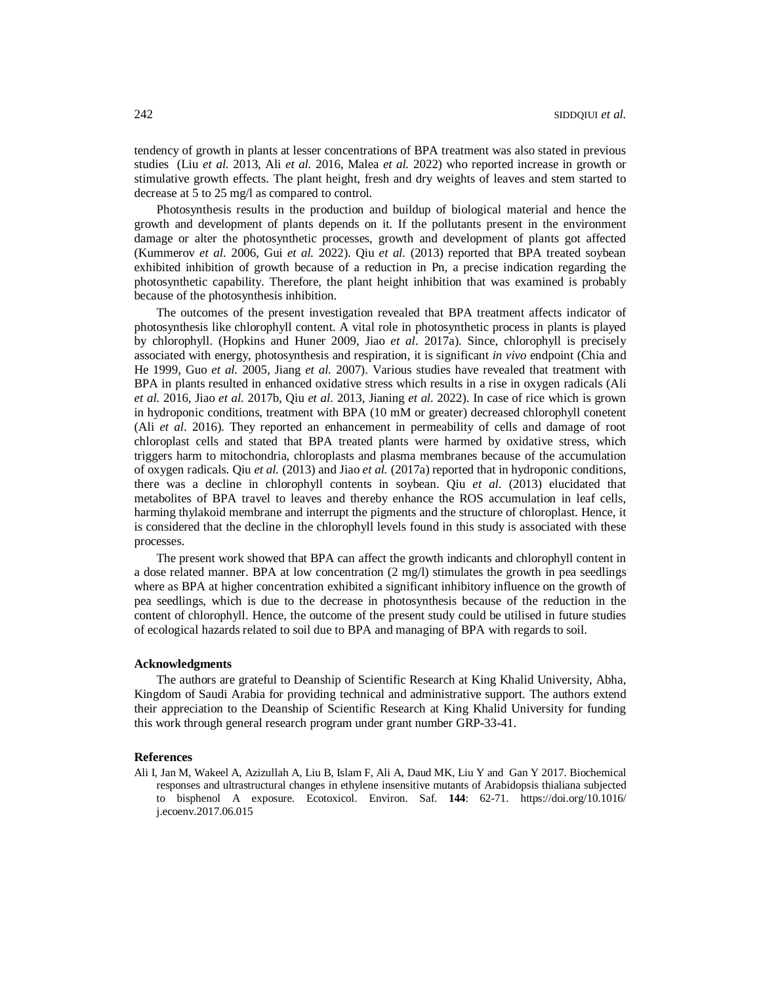tendency of growth in plants at lesser concentrations of BPA treatment was also stated in previous studies (Liu *et al.* 2013, Ali *et al.* 2016, Malea *et al.* 2022) who reported increase in growth or stimulative growth effects. The plant height, fresh and dry weights of leaves and stem started to decrease at 5 to 25 mg/l as compared to control.

Photosynthesis results in the production and buildup of biological material and hence the growth and development of plants depends on it. If the pollutants present in the environment damage or alter the photosynthetic processes, growth and development of plants got affected (Kummerov *et al.* 2006, Gui *et al.* 2022). Qiu *et al.* (2013) reported that BPA treated soybean exhibited inhibition of growth because of a reduction in Pn, a precise indication regarding the photosynthetic capability. Therefore, the plant height inhibition that was examined is probably because of the photosynthesis inhibition.

The outcomes of the present investigation revealed that BPA treatment affects indicator of photosynthesis like chlorophyll content. A vital role in photosynthetic process in plants is played by chlorophyll. (Hopkins and Huner 2009, Jiao *et al*. 2017a). Since, chlorophyll is precisely associated with energy, photosynthesis and respiration, it is significant *in vivo* endpoint (Chia and He 1999, Guo *et al.* 2005, Jiang *et al.* 2007). Various studies have revealed that treatment with BPA in plants resulted in enhanced oxidative stress which results in a rise in oxygen radicals (Ali *et al.* 2016, Jiao *et al.* 2017b, Qiu *et al.* 2013, Jianing *et al.* 2022). In case of rice which is grown in hydroponic conditions, treatment with BPA (10 mM or greater) decreased chlorophyll conetent (Ali *et al*. 2016). They reported an enhancement in permeability of cells and damage of root chloroplast cells and stated that BPA treated plants were harmed by oxidative stress, which triggers harm to mitochondria, chloroplasts and plasma membranes because of the accumulation of oxygen radicals. Qiu *et al.* (2013) and Jiao *et al.* (2017a) reported that in hydroponic conditions, there was a decline in chlorophyll contents in soybean. Qiu *et al*. (2013) elucidated that metabolites of BPA travel to leaves and thereby enhance the ROS accumulation in leaf cells, harming thylakoid membrane and interrupt the pigments and the structure of chloroplast. Hence, it is considered that the decline in the chlorophyll levels found in this study is associated with these processes.

The present work showed that BPA can affect the growth indicants and chlorophyll content in a dose related manner. BPA at low concentration (2 mg/l) stimulates the growth in pea seedlings where as BPA at higher concentration exhibited a significant inhibitory influence on the growth of pea seedlings, which is due to the decrease in photosynthesis because of the reduction in the content of chlorophyll. Hence, the outcome of the present study could be utilised in future studies of ecological hazards related to soil due to BPA and managing of BPA with regards to soil.

## **Acknowledgments**

The authors are grateful to Deanship of Scientific Research at King Khalid University, Abha, Kingdom of Saudi Arabia for providing technical and administrative support. The authors extend their appreciation to the Deanship of Scientific Research at King Khalid University for funding this work through general research program under grant number GRP-33-41.

### **References**

Ali I, Jan M, Wakeel A, Azizullah A, Liu B, Islam F, Ali A, Daud MK, Liu Y and Gan Y 2017. Biochemical responses and ultrastructural changes in ethylene insensitive mutants of Arabidopsis thialiana subjected to bisphenol A exposure. Ecotoxicol. Environ. Saf. **144**: 62-71. <https://doi.org/10.1016/> j.ecoenv.2017.06.015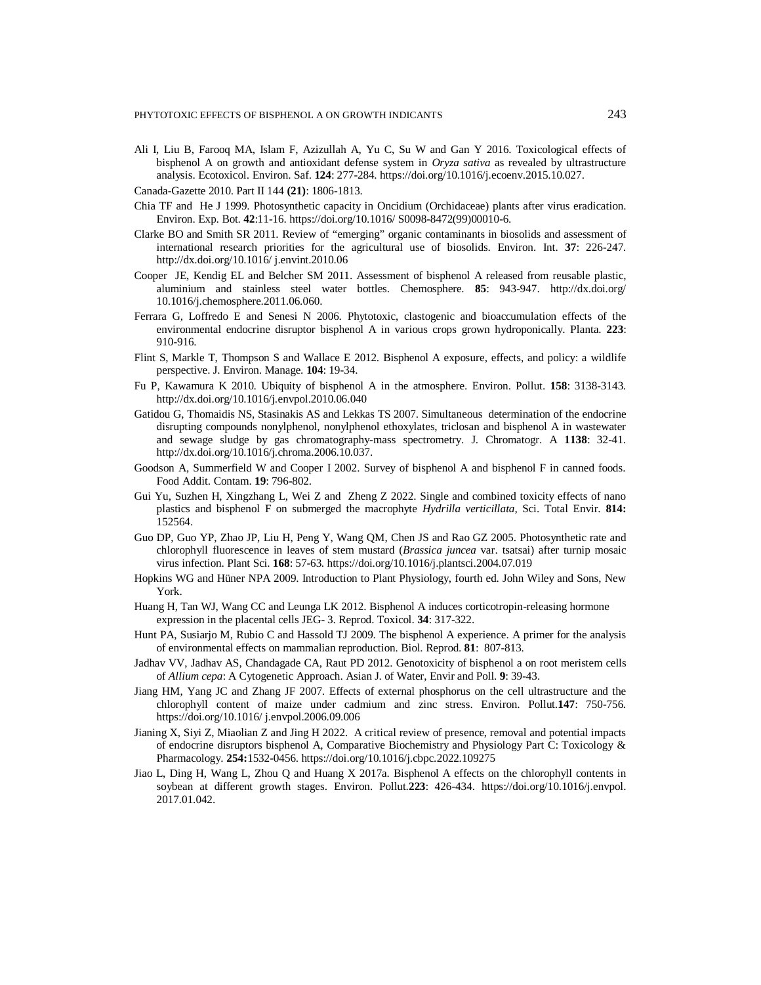- Ali I, Liu B, Farooq MA, Islam F, Azizullah A, Yu C, Su W and Gan Y 2016. Toxicological effects of bisphenol A on growth and antioxidant defense system in *Oryza sativa* as revealed by ultrastructure analysis. Ecotoxicol. Environ. Saf. **124**: 277-284. <https://doi.org/10.1016/j.ecoenv.2015.10.027.>
- Canada-Gazette 2010. Part II 144 **(21)**: 1806-1813.
- Chia TF and He J 1999. Photosynthetic capacity in Oncidium (Orchidaceae) plants after virus eradication. Environ. Exp. Bot. **42**:11-16.<https://doi.org/10.1016/> S0098-8472(99)00010-6.
- Clarke BO and Smith SR 2011. Review of "emerging" organic contaminants in biosolids and assessment of international research priorities for the agricultural use of biosolids. Environ. Int. **37**: 226-247. <http://dx.doi.org/10.1016/> j.envint.2010.06
- Cooper JE, Kendig EL and Belcher SM 2011. Assessment of bisphenol A released from reusable plastic, aluminium and stainless steel water bottles. Chemosphere. **85**: 943-947. <http://dx.doi.org/> 10.1016/j.chemosphere.2011.06.060.
- Ferrara G, Loffredo E and Senesi N 2006. Phytotoxic, clastogenic and bioaccumulation effects of the environmental endocrine disruptor bisphenol A in various crops grown hydroponically. Planta. **223**: 910-916.
- Flint S, Markle T, Thompson S and Wallace E 2012. Bisphenol A exposure, effects, and policy: a wildlife perspective. J. Environ. Manage. **104**: 19-34.
- Fu P, Kawamura K 2010. Ubiquity of bisphenol A in the atmosphere. Environ. Pollut. **158**: 3138-3143. <http://dx.doi.org/10.1016/j.envpol.2010.06.040>
- Gatidou G, Thomaidis NS, Stasinakis AS and Lekkas TS 2007. Simultaneous determination of the endocrine disrupting compounds nonylphenol, nonylphenol ethoxylates, triclosan and bisphenol A in wastewater and sewage sludge by gas chromatography-mass spectrometry. J. Chromatogr. A **1138**: 32-41. <http://dx.doi.org/10.1016/j.chroma.2006.10.037.>
- Goodson A, Summerfield W and Cooper I 2002. Survey of bisphenol A and bisphenol F in canned foods. Food Addit. Contam. **19**: 796-802.
- Gui Yu, Suzhen H, Xingzhang L, Wei Z and Zheng Z 2022. Single and combined toxicity effects of nano plastics and bisphenol F on submerged the macrophyte *Hydrilla verticillata,* Sci. Total Envir. **814:** 152564.
- Guo DP, Guo YP, Zhao JP, Liu H, Peng Y, Wang QM, Chen JS and Rao GZ 2005. Photosynthetic rate and chlorophyll fluorescence in leaves of stem mustard (*Brassica juncea* var. tsatsai) after turnip mosaic virus infection. Plant Sci. **168**: 57-63.<https://doi.org/10.1016/j.plantsci.2004.07.019>
- Hopkins WG and Hüner NPA 2009. Introduction to Plant Physiology, fourth ed. John Wiley and Sons, New York.
- Huang H, Tan WJ, Wang CC and Leunga LK 2012. Bisphenol A induces corticotropin-releasing hormone expression in the placental cells JEG- 3. Reprod. Toxicol. **34**: 317-322.
- Hunt PA, Susiarjo M, Rubio C and Hassold TJ 2009. The bisphenol A experience. A primer for the analysis of environmental effects on mammalian reproduction. Biol. Reprod. **81**: 807-813.
- Jadhav VV, Jadhav AS, Chandagade CA, Raut PD 2012. Genotoxicity of bisphenol a on root meristem cells of *Allium cepa*: A Cytogenetic Approach. Asian J. of Water, Envir and Poll. **9**: 39-43.
- Jiang HM, Yang JC and Zhang JF 2007. Effects of external phosphorus on the cell ultrastructure and the chlorophyll content of maize under cadmium and zinc stress. Environ. Pollut.**147**: 750-756. <https://doi.org/10.1016/> j.envpol.2006.09.006
- Jianing X, Siyi Z, Miaolian Z and Jing H 2022. A critical review of presence, removal and potential impacts of endocrine disruptors bisphenol A, Comparative Biochemistry and Physiology Part C: Toxicology & Pharmacology. **254:**1532-0456. <https://doi.org/10.1016/j.cbpc.2022.109275>
- Jiao L, Ding H, Wang L, Zhou Q and Huang X 2017a. Bisphenol A effects on the chlorophyll contents in soybean at different growth stages. Environ. Pollut.**223**: 426-434. <https://doi.org/10.1016/j.envpol.> 2017.01.042.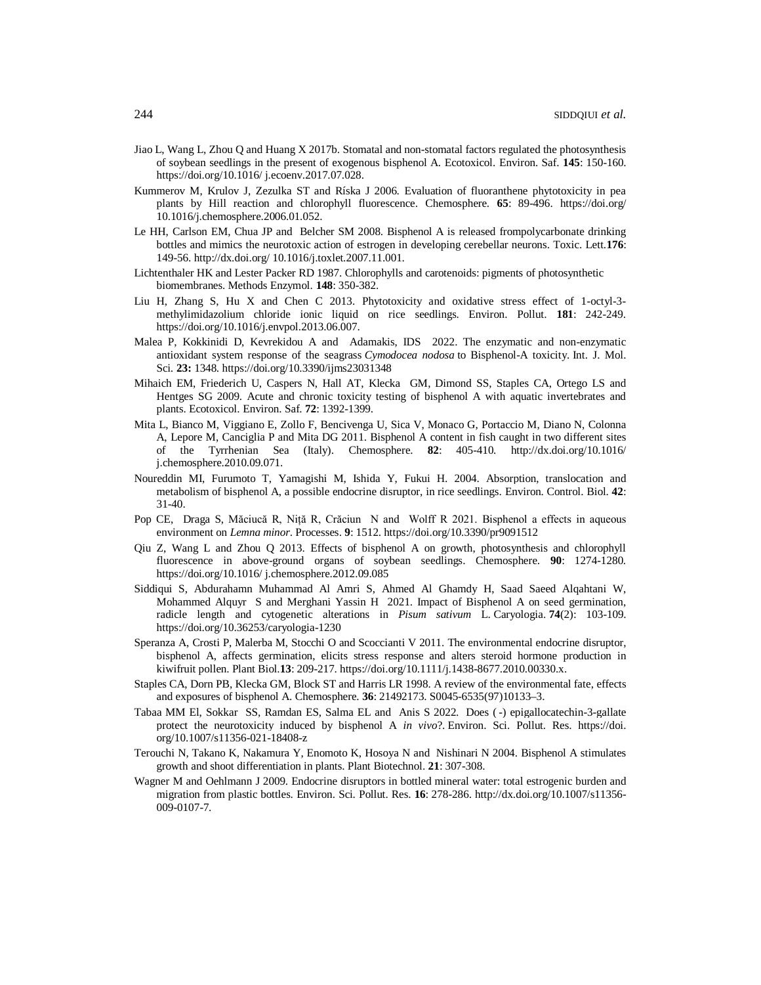- Jiao L, Wang L, Zhou Q and Huang X 2017b. Stomatal and non-stomatal factors regulated the photosynthesis of soybean seedlings in the present of exogenous bisphenol A. Ecotoxicol. Environ. Saf. **145**: 150-160. <https://doi.org/10.1016/> j.ecoenv.2017.07.028.
- Kummerov M, Krulov J, Zezulka ST and Ríska J 2006. Evaluation of fluoranthene phytotoxicity in pea plants by Hill reaction and chlorophyll fluorescence. Chemosphere. **65**: 89-496. <https://doi.org/> 10.1016/j.chemosphere.2006.01.052.
- Le HH, Carlson EM, Chua JP and Belcher SM 2008. Bisphenol A is released frompolycarbonate drinking bottles and mimics the neurotoxic action of estrogen in developing cerebellar neurons. Toxic. Lett.**176**: 149-56.<http://dx.doi.org/> 10.1016/j.toxlet.2007.11.001.
- Lichtenthaler HK and Lester Packer RD 1987. Chlorophylls and carotenoids: pigments of photosynthetic biomembranes. Methods Enzymol. **148**: 350-382.
- Liu H, Zhang S, Hu X and Chen C 2013. Phytotoxicity and oxidative stress effect of 1-octyl-3 methylimidazolium chloride ionic liquid on rice seedlings. Environ. Pollut. **181**: 242-249. <https://doi.org/10.1016/j.envpol.2013.06.007.>
- Malea P, Kokkinidi D, Kevrekidou A and Adamakis, IDS 2022. The enzymatic and non-enzymatic antioxidant system response of the seagrass *Cymodocea nodosa* to Bisphenol-A toxicity. Int. J. Mol. Sci*.* **23:** 1348. <https://doi.org/10.3390/ijms23031348>
- Mihaich EM, Friederich U, Caspers N, Hall AT, Klecka GM, Dimond SS, Staples CA, Ortego LS and Hentges SG 2009. Acute and chronic toxicity testing of bisphenol A with aquatic invertebrates and plants. Ecotoxicol. Environ. Saf. **72**: 1392-1399.
- Mita L, Bianco M, Viggiano E, Zollo F, Bencivenga U, Sica V, Monaco G, Portaccio M, Diano N, Colonna A, Lepore M, Canciglia P and Mita DG 2011. Bisphenol A content in fish caught in two different sites of the Tyrrhenian Sea (Italy). Chemosphere. **82**: 405-410. <http://dx.doi.org/10.1016/> j.chemosphere.2010.09.071.
- Noureddin MI, Furumoto T, Yamagishi M, Ishida Y, Fukui H. 2004. Absorption, translocation and metabolism of bisphenol A, a possible endocrine disruptor, in rice seedlings. Environ. Control. Biol. **42**: 31-40.
- Pop CE, Draga S, Măciucă R, Niță R, Crăciun N and Wolff R 2021. Bisphenol a effects in aqueous environment on *Lemna minor*. Processes. **9**: 1512. <https://doi.org/10.3390/pr9091512>
- Qiu Z, Wang L and Zhou Q 2013. Effects of bisphenol A on growth, photosynthesis and chlorophyll fluorescence in above-ground organs of soybean seedlings. Chemosphere. **90**: 1274-1280. <https://doi.org/10.1016/> j.chemosphere.2012.09.085
- Siddiqui S, Abdurahamn Muhammad Al Amri S, Ahmed Al Ghamdy H, Saad Saeed Alqahtani W, Mohammed Alquyr S and Merghani Yassin H 2021. Impact of Bisphenol A on seed germination, radicle length and cytogenetic alterations in *Pisum sativum* L. Caryologia. **74**(2): 103-109. <https://doi.org/10.36253/caryologia-1230>
- Speranza A, Crosti P, Malerba M, Stocchi O and Scoccianti V 2011. The environmental endocrine disruptor, bisphenol A, affects germination, elicits stress response and alters steroid hormone production in kiwifruit pollen. Plant Biol.**13**: 209-217. <https://doi.org/10.1111/j.1438-8677.2010.00330.x.>
- Staples CA, Dorn PB, Klecka GM, Block ST and Harris LR 1998. A review of the environmental fate, effects and exposures of bisphenol A. Chemosphere. **36**: 21492173. S0045-6535(97)10133–3.
- Tabaa MM El, Sokkar SS, Ramdan ES, Salma EL and Anis S 2022. Does ( -) epigallocatechin-3-gallate protect the neurotoxicity induced by bisphenol A *in vivo*?. Environ. Sci. Pollut. Res. <https://doi.> org/10.1007/s11356-021-18408-z
- Terouchi N, Takano K, Nakamura Y, Enomoto K, Hosoya N and Nishinari N 2004. Bisphenol A stimulates growth and shoot differentiation in plants. Plant Biotechnol. **21**: 307-308.
- Wagner M and Oehlmann J 2009. Endocrine disruptors in bottled mineral water: total estrogenic burden and migration from plastic bottles. Environ. Sci. Pollut. Res. **16**: 278-286.<http://dx.doi.org/10.1007/s11356-> 009-0107-7.